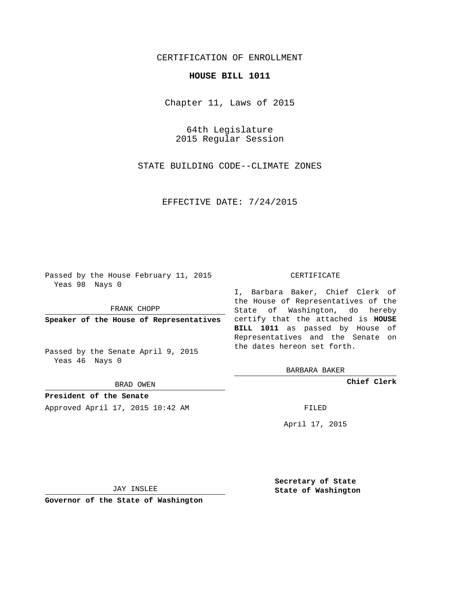## CERTIFICATION OF ENROLLMENT

## **HOUSE BILL 1011**

Chapter 11, Laws of 2015

64th Legislature 2015 Regular Session

STATE BUILDING CODE--CLIMATE ZONES

EFFECTIVE DATE: 7/24/2015

Passed by the House February 11, 2015 Yeas 98 Nays 0

FRANK CHOPP

Passed by the Senate April 9, 2015 Yeas 46 Nays 0

BRAD OWEN

**President of the Senate**

Approved April 17, 2015 10:42 AM FILED

## CERTIFICATE

**Speaker of the House of Representatives** certify that the attached is **HOUSE** I, Barbara Baker, Chief Clerk of the House of Representatives of the State of Washington, do hereby **BILL 1011** as passed by House of Representatives and the Senate on the dates hereon set forth.

BARBARA BAKER

**Chief Clerk**

April 17, 2015

JAY INSLEE

**Governor of the State of Washington**

**Secretary of State State of Washington**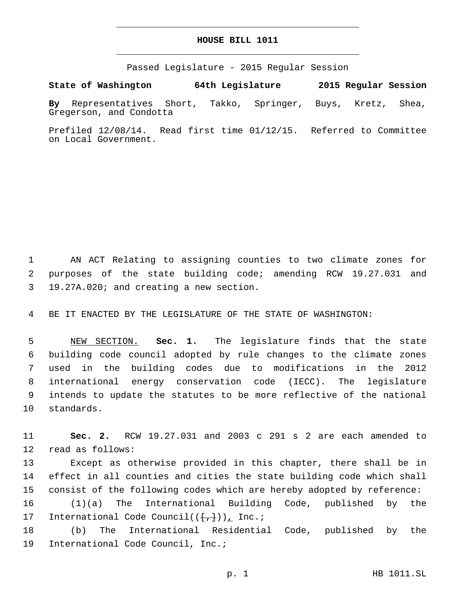## **HOUSE BILL 1011**

Passed Legislature - 2015 Regular Session

**State of Washington 64th Legislature 2015 Regular Session By** Representatives Short, Takko, Springer, Buys, Kretz, Shea,

Gregerson, and Condotta

Prefiled 12/08/14. Read first time 01/12/15. Referred to Committee on Local Government.

1 AN ACT Relating to assigning counties to two climate zones for 2 purposes of the state building code; amending RCW 19.27.031 and 19.27A.020; and creating a new section.3

4 BE IT ENACTED BY THE LEGISLATURE OF THE STATE OF WASHINGTON:

 NEW SECTION. **Sec. 1.** The legislature finds that the state building code council adopted by rule changes to the climate zones used in the building codes due to modifications in the 2012 international energy conservation code (IECC). The legislature intends to update the statutes to be more reflective of the national standards.

11 **Sec. 2.** RCW 19.27.031 and 2003 c 291 s 2 are each amended to 12 read as follows:

13 Except as otherwise provided in this chapter, there shall be in 14 effect in all counties and cities the state building code which shall 15 consist of the following codes which are hereby adopted by reference:

16 (1)(a) The International Building Code, published by the 17 International Code Council( $(\frac{1}{r+1})$ ), Inc.;

18 (b) The International Residential Code, published by the 19 International Code Council, Inc.;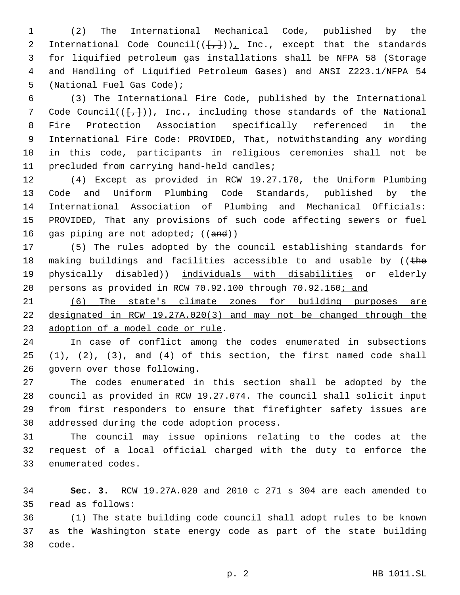(2) The International Mechanical Code, published by the 2 International Code Council( $(\{+, \})_L$  Inc., except that the standards for liquified petroleum gas installations shall be NFPA 58 (Storage and Handling of Liquified Petroleum Gases) and ANSI Z223.1/NFPA 54 5 (National Fuel Gas Code);

 (3) The International Fire Code, published by the International 7 Code Council( $(\{\frac{1}{r}\})$ ), Inc., including those standards of the National Fire Protection Association specifically referenced in the International Fire Code: PROVIDED, That, notwithstanding any wording in this code, participants in religious ceremonies shall not be 11 precluded from carrying hand-held candles;

 (4) Except as provided in RCW 19.27.170, the Uniform Plumbing Code and Uniform Plumbing Code Standards, published by the International Association of Plumbing and Mechanical Officials: PROVIDED, That any provisions of such code affecting sewers or fuel 16 gas piping are not adopted; ((and))

 (5) The rules adopted by the council establishing standards for 18 making buildings and facilities accessible to and usable by ((the 19 physically disabled)) individuals with disabilities or elderly persons as provided in RCW 70.92.100 through 70.92.160; and

 (6) The state's climate zones for building purposes are designated in RCW 19.27A.020(3) and may not be changed through the 23 adoption of a model code or rule.

 In case of conflict among the codes enumerated in subsections (1), (2), (3), and (4) of this section, the first named code shall 26 govern over those following.

 The codes enumerated in this section shall be adopted by the council as provided in RCW 19.27.074. The council shall solicit input from first responders to ensure that firefighter safety issues are 30 addressed during the code adoption process.

 The council may issue opinions relating to the codes at the request of a local official charged with the duty to enforce the 33 enumerated codes.

 **Sec. 3.** RCW 19.27A.020 and 2010 c 271 s 304 are each amended to 35 read as follows:

 (1) The state building code council shall adopt rules to be known as the Washington state energy code as part of the state building 38 code.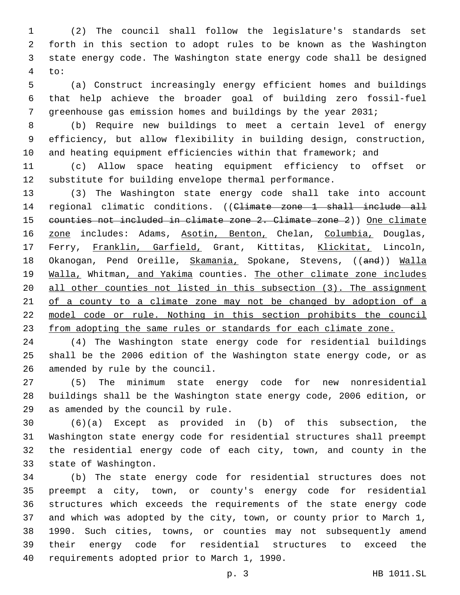(2) The council shall follow the legislature's standards set forth in this section to adopt rules to be known as the Washington state energy code. The Washington state energy code shall be designed to:

 (a) Construct increasingly energy efficient homes and buildings that help achieve the broader goal of building zero fossil-fuel greenhouse gas emission homes and buildings by the year 2031;

 (b) Require new buildings to meet a certain level of energy efficiency, but allow flexibility in building design, construction, and heating equipment efficiencies within that framework; and

 (c) Allow space heating equipment efficiency to offset or substitute for building envelope thermal performance.

 (3) The Washington state energy code shall take into account regional climatic conditions. ((Climate zone 1 shall include all counties not included in climate zone 2. Climate zone 2)) One climate 16 zone includes: Adams, Asotin, Benton, Chelan, Columbia, Douglas, Ferry, Franklin, Garfield, Grant, Kittitas, Klickitat, Lincoln, 18 Okanogan, Pend Oreille, Skamania, Spokane, Stevens, ((and)) Walla 19 Walla, Whitman, and Yakima counties. The other climate zone includes all other counties not listed in this subsection (3). The assignment 21 of a county to a climate zone may not be changed by adoption of a model code or rule. Nothing in this section prohibits the council from adopting the same rules or standards for each climate zone.

 (4) The Washington state energy code for residential buildings shall be the 2006 edition of the Washington state energy code, or as 26 amended by rule by the council.

 (5) The minimum state energy code for new nonresidential buildings shall be the Washington state energy code, 2006 edition, or 29 as amended by the council by rule.

 (6)(a) Except as provided in (b) of this subsection, the Washington state energy code for residential structures shall preempt the residential energy code of each city, town, and county in the 33 state of Washington.

 (b) The state energy code for residential structures does not preempt a city, town, or county's energy code for residential structures which exceeds the requirements of the state energy code and which was adopted by the city, town, or county prior to March 1, 1990. Such cities, towns, or counties may not subsequently amend their energy code for residential structures to exceed the 40 requirements adopted prior to March 1, 1990.